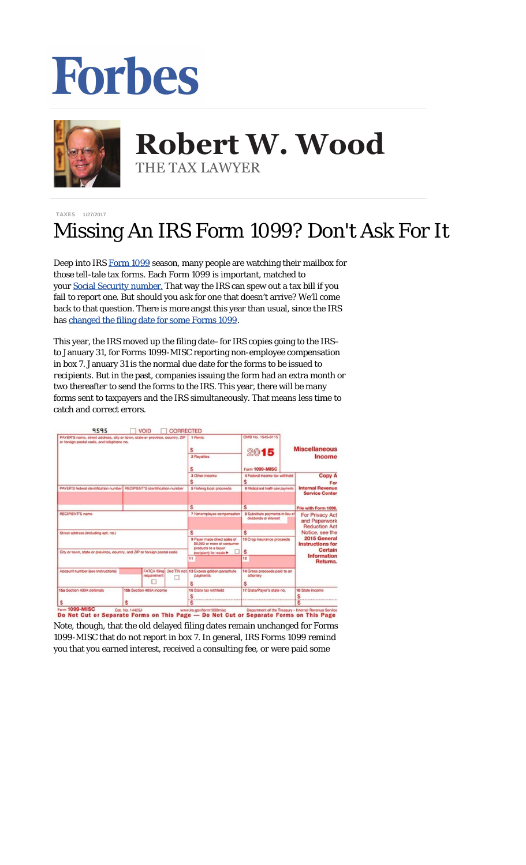## Forbes



## **Robert W. Wood Robert W. Wood** THE TAX LAWYER THE TAX LAWYER

[TAXES](http://www.forbes.com/taxes) 1/27/2017

## Missing An IRS Form 1099? Don't Ask For It

Deep into IRS [Form 1099](http://www.irs.gov/uac/Form-1099-MISC,-Miscellaneous-Income-) season, many people are watching their mailbox for those tell-tale tax forms. Each Form 1099 is important, matched to your [Social Security number.](http://topics.forbes.com/Social%20Security) That way the IRS can spew out a tax bill if you fail to report one. But should you *ask* for one that doesn't arrive? We'll come back to that question. There is more angst this year than usual, since the IRS has [changed the filing date for some Forms 1099](https://www.irs.gov/pub/irs-pdf/i1099msc.pdf).

This year, the IRS moved up the filing date–for IRS copies going to the IRS– to January 31, for Forms 1099-MISC reporting non-employee compensation in box 7. January 31 is the normal due date for the forms to be issued to *recipients*. But in the past, companies issuing the form had an extra month or two thereafter to send the forms *to the IRS*. This year, there will be many forms sent to taxpayers and the IRS simultaneously. That means less time to catch and correct errors.



Note, though, that the old delayed filing dates remain unchanged for Forms 1099-MISC that *do not* report in box 7. In general, IRS Forms 1099 remind you that you earned interest, received a consulting fee, or were paid some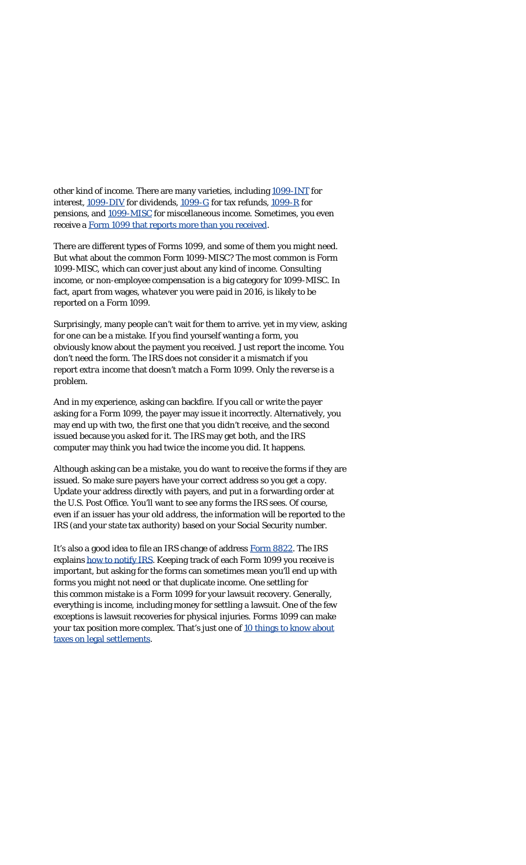other kind of income. There are many varieties, including [1099-INT](http://www.irs.gov/pub/irs-pdf/f1099int.pdf) for interest, [1099-DIV](http://www.irs.gov/pub/irs-pdf/f1099div.pdf) for dividends, [1099-G](http://www.irs.gov/pub/irs-pdf/f1099g.pdf) for tax refunds, [1099-R](http://www.irs.gov/pub/irs-pdf/f1099r.pdf) for pensions, and [1099-MISC](http://www.irs.gov/pub/irs-pdf/f1099msc.pdf) for miscellaneous income. Sometimes, you even receive a [Form 1099 that reports more than you received.](http://www.forbes.com/sites/robertwood/2016/01/29/what-to-do-if-irs-form-1099-reports-more-than-you-received/)

There are different types of Forms 1099, and some of them you might need. But what about the common Form 1099-MISC? The most common is Form 1099-MISC, which can cover just about any kind of income. Consulting income, or non-employee compensation is a big category for 1099-MISC. In fact, apart from wages, *whatever* you were paid in 2016, is likely to be reported on a Form 1099.

Surprisingly, many people can't wait for them to arrive. yet in my view, *asking* for one can be a mistake. If you find yourself wanting a form, you obviously know about the payment you received. Just report the income. You don't need the form. The IRS does not consider it a mismatch if you report *extra* income that doesn't match a Form 1099. Only the *reverse* is a problem.

And in my experience, asking can backfire. If you call or write the payer asking for a Form 1099, the payer may issue it incorrectly. Alternatively, you may end up with two, the first one that you didn't receive, and the second issued because you *asked* for it. The IRS may get both, and the IRS computer may think you had *twice* the income you did. It happens.

Although asking can be a mistake, you do want to receive the forms if they are issued. So make sure payers have your correct address so you get a copy. Update your address directly with payers, and put in a forwarding order at the U.S. Post Office. You'll want to see any forms the IRS sees. Of course, even if an issuer has your *old address*, the information will be reported to the IRS (and your state tax authority) based on your Social Security number.

It's also a good idea to file an IRS change of address [Form 8822.](http://www.irs.gov/pub/irs-pdf/f8822.pdf) The IRS explains [how to notify IRS.](http://www.irs.gov/taxtopics/tc157.html) Keeping track of each Form 1099 you receive is important, but asking for the forms can sometimes mean you'll end up with forms you might not need or that duplicate income. One settling for this common mistake is a Form 1099 for your lawsuit recovery. Generally, everything is income, including money for settling a lawsuit. One of the few exceptions is lawsuit recoveries for physical injuries. Forms 1099 can make your tax position more complex. That's just one of [10 things to know about](https://www.google.com/url?sa=t&rct=j&q=&esrc=s&source=web&cd=5&cad=rja&uact=8&ved=0ahUKEwjXgfzH2t_JAhUCKWMKHUPsB3kQFgg7MAQ&url=http%3A%2F%2Fwww.forbes.com%2Fsites%2Frobertwood%2F2015%2F07%2F06%2F10-things-to-know-about-taxes-on-legal-settlements%2F&usg=AFQjCNFUP3X4ohSMGq_gV3A4hJT0k84z2Q&bvm=bv.110151844,d.cGc) [taxes on legal settlements](https://www.google.com/url?sa=t&rct=j&q=&esrc=s&source=web&cd=5&cad=rja&uact=8&ved=0ahUKEwjXgfzH2t_JAhUCKWMKHUPsB3kQFgg7MAQ&url=http%3A%2F%2Fwww.forbes.com%2Fsites%2Frobertwood%2F2015%2F07%2F06%2F10-things-to-know-about-taxes-on-legal-settlements%2F&usg=AFQjCNFUP3X4ohSMGq_gV3A4hJT0k84z2Q&bvm=bv.110151844,d.cGc).